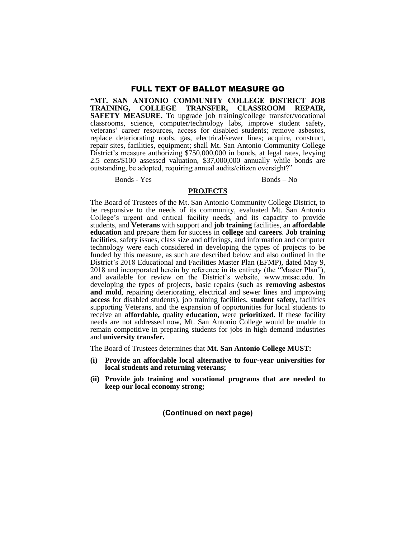**"MT. SAN ANTONIO COMMUNITY COLLEGE DISTRICT JOB TRAINING, COLLEGE TRANSFER, SAFETY MEASURE.** To upgrade job training/college transfer/vocational classrooms, science, computer/technology labs, improve student safety, veterans' career resources, access for disabled students; remove asbestos, replace deteriorating roofs, gas, electrical/sewer lines; acquire, construct, repair sites, facilities, equipment; shall Mt. San Antonio Community College District's measure authorizing \$750,000,000 in bonds, at legal rates, levying 2.5 cents/\$100 assessed valuation, \$37,000,000 annually while bonds are outstanding, be adopted, requiring annual audits/citizen oversight?"

Bonds - Yes Bonds – No

#### **PROJECTS**

The Board of Trustees of the Mt. San Antonio Community College District, to be responsive to the needs of its community, evaluated Mt. San Antonio College's urgent and critical facility needs, and its capacity to provide students, and **Veterans** with support and **job training** facilities, an **affordable education** and prepare them for success in **college** and **careers**. **Job training** facilities, safety issues, class size and offerings, and information and computer technology were each considered in developing the types of projects to be funded by this measure, as such are described below and also outlined in the District's 2018 Educational and Facilities Master Plan (EFMP), dated May 9, 2018 and incorporated herein by reference in its entirety (the "Master Plan"), and available for review on the District's website, www.mtsac.edu. In developing the types of projects, basic repairs (such as **removing asbestos and mold**, repairing deteriorating, electrical and sewer lines and improving **access** for disabled students), job training facilities, **student safety,** facilities supporting Veterans, and the expansion of opportunities for local students to receive an **affordable,** quality **education,** were **prioritized.** If these facility needs are not addressed now, Mt. San Antonio College would be unable to remain competitive in preparing students for jobs in high demand industries and **university transfer.**

The Board of Trustees determines that **Mt. San Antonio College MUST:**

- **(i) Provide an affordable local alternative to four-year universities for local students and returning veterans;**
- **(ii) Provide job training and vocational programs that are needed to keep our local economy strong;**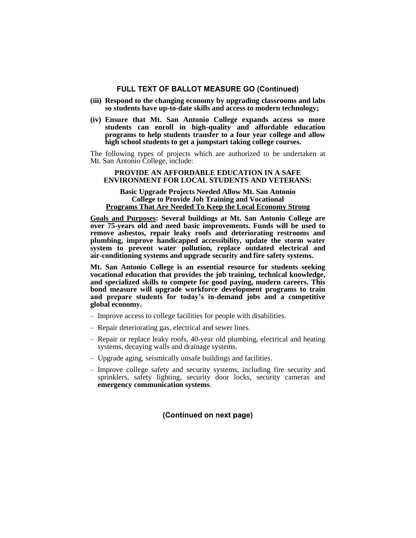- **(iii) Respond to the changing economy by upgrading classrooms and labs so students have up-to-date skills and access to modern technology;**
- **(iv) Ensure that Mt. San Antonio College expands access so more students can enroll in high-quality and affordable education programs to help students transfer to a four year college and allow high school students to get a jumpstart taking college courses.**

The following types of projects which are authorized to be undertaken at Mt. San Antonio College, include:

#### **PROVIDE AN AFFORDABLE EDUCATION IN A SAFE ENVIRONMENT FOR LOCAL STUDENTS AND VETERANS:**

#### **Basic Upgrade Projects Needed Allow Mt. San Antonio College to Provide Job Training and Vocational Programs That Are Needed To Keep the Local Economy Strong**

**Goals and Purposes: Several buildings at Mt. San Antonio College are over 75-years old and need basic improvements. Funds will be used to remove asbestos, repair leaky roofs and deteriorating restrooms and plumbing, improve handicapped accessibility, update the storm water system to prevent water pollution, replace outdated electrical and air-conditioning systems and upgrade security and fire safety systems.**

**Mt. San Antonio College is an essential resource for students seeking vocational education that provides the job training, technical knowledge, and specialized skills to compete for good paying, modern careers. This bond measure will upgrade workforce development programs to train and prepare students for today's in-demand jobs and a competitive global economy.**

- Improve access to college facilities for people with disabilities.
- Repair deteriorating gas, electrical and sewer lines.
- Repair or replace leaky roofs, 40-year old plumbing, electrical and heating systems, decaying walls and drainage systems.
- Upgrade aging, seismically unsafe buildings and facilities.
- Improve college safety and security systems, including fire security and sprinklers, safety lighting, security door locks, security cameras and **emergency communication systems**.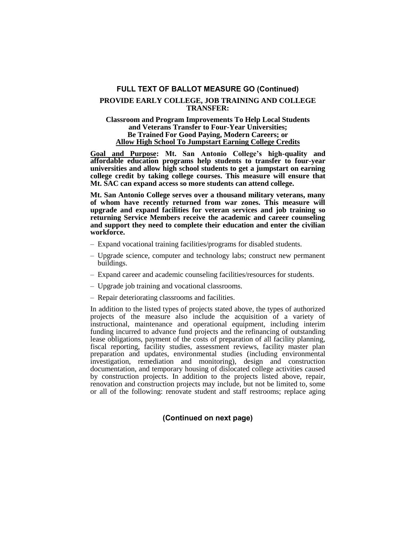## **PROVIDE EARLY COLLEGE, JOB TRAINING AND COLLEGE TRANSFER:**

### **Classroom and Program Improvements To Help Local Students and Veterans Transfer to Four-Year Universities; Be Trained For Good Paying, Modern Careers; or Allow High School To Jumpstart Earning College Credits**

**Goal and Purpose: Mt. San Antonio College's high-quality and affordable education programs help students to transfer to four-year universities and allow high school students to get a jumpstart on earning college credit by taking college courses. This measure will ensure that Mt. SAC can expand access so more students can attend college.**

**Mt. San Antonio College serves over a thousand military veterans, many of whom have recently returned from war zones. This measure will upgrade and expand facilities for veteran services and job training so returning Service Members receive the academic and career counseling and support they need to complete their education and enter the civilian workforce.**

- Expand vocational training facilities/programs for disabled students.
- Upgrade science, computer and technology labs; construct new permanent buildings.
- Expand career and academic counseling facilities/resources for students.
- Upgrade job training and vocational classrooms.
- Repair deteriorating classrooms and facilities.

In addition to the listed types of projects stated above, the types of authorized projects of the measure also include the acquisition of a variety of instructional, maintenance and operational equipment, including interim funding incurred to advance fund projects and the refinancing of outstanding lease obligations, payment of the costs of preparation of all facility planning, fiscal reporting, facility studies, assessment reviews, facility master plan preparation and updates, environmental studies (including environmental investigation, remediation and monitoring), design and construction documentation, and temporary housing of dislocated college activities caused by construction projects. In addition to the projects listed above, repair, renovation and construction projects may include, but not be limited to, some or all of the following: renovate student and staff restrooms; replace aging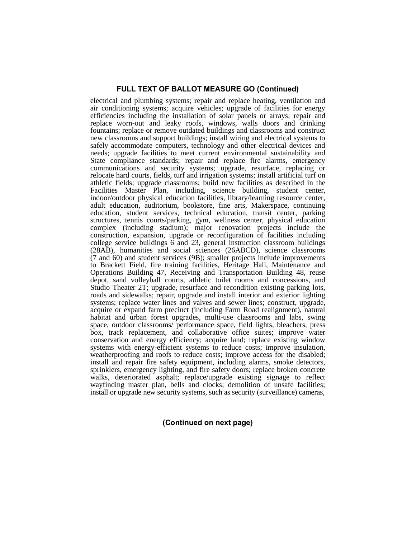electrical and plumbing systems; repair and replace heating, ventilation and air conditioning systems; acquire vehicles; upgrade of facilities for energy efficiencies including the installation of solar panels or arrays; repair and replace worn-out and leaky roofs, windows, walls doors and drinking fountains; replace or remove outdated buildings and classrooms and construct new classrooms and support buildings; install wiring and electrical systems to safely accommodate computers, technology and other electrical devices and needs; upgrade facilities to meet current environmental sustainability and State compliance standards; repair and replace fire alarms, emergency communications and security systems; upgrade, resurface, replacing or relocate hard courts, fields, turf and irrigation systems; install artificial turf on athletic fields; upgrade classrooms; build new facilities as described in the Facilities Master Plan, including, science building, student center, indoor/outdoor physical education facilities, library/learning resource center, adult education, auditorium, bookstore, fine arts, Makerspace, continuing education, student services, technical education, transit center, parking structures, tennis courts/parking, gym, wellness center, physical education complex (including stadium); major renovation projects include the construction, expansion, upgrade or reconfiguration of facilities including college service buildings  $6$  and 23, general instruction classroom buildings (28AB), humanities and social sciences (26ABCD), science classrooms (7 and 60) and student services (9B); smaller projects include improvements to Brackett Field, fire training facilities, Heritage Hall, Maintenance and Operations Building 47, Receiving and Transportation Building 48, reuse depot, sand volleyball courts, athletic toilet rooms and concessions, and Studio Theater 2T; upgrade, resurface and recondition existing parking lots, roads and sidewalks; repair, upgrade and install interior and exterior lighting systems; replace water lines and valves and sewer lines; construct, upgrade, acquire or expand farm precinct (including Farm Road realignment), natural habitat and urban forest upgrades, multi-use classrooms and labs, swing space, outdoor classrooms/ performance space, field lights, bleachers, press box, track replacement, and collaborative office suites; improve water conservation and energy efficiency; acquire land; replace existing window systems with energy-efficient systems to reduce costs; improve insulation, weatherproofing and roofs to reduce costs; improve access for the disabled; install and repair fire safety equipment, including alarms, smoke detectors, sprinklers, emergency lighting, and fire safety doors; replace broken concrete walks, deteriorated asphalt; replace/upgrade existing signage to reflect wayfinding master plan, bells and clocks; demolition of unsafe facilities; install or upgrade new security systems, such as security (surveillance) cameras,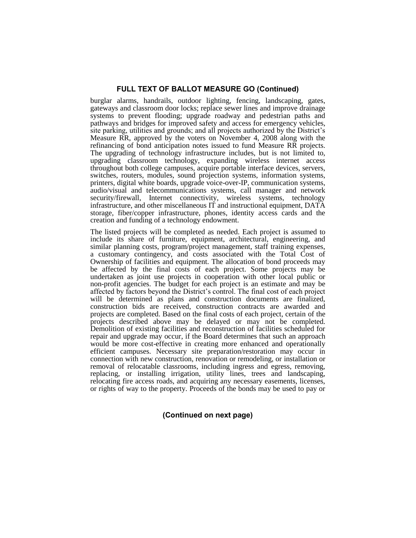burglar alarms, handrails, outdoor lighting, fencing, landscaping, gates, gateways and classroom door locks; replace sewer lines and improve drainage systems to prevent flooding; upgrade roadway and pedestrian paths and pathways and bridges for improved safety and access for emergency vehicles, site parking, utilities and grounds; and all projects authorized by the District's Measure RR, approved by the voters on November 4, 2008 along with the refinancing of bond anticipation notes issued to fund Measure RR projects. The upgrading of technology infrastructure includes, but is not limited to, upgrading classroom technology, expanding wireless internet access throughout both college campuses, acquire portable interface devices, servers, switches, routers, modules, sound projection systems, information systems, printers, digital white boards, upgrade voice-over-IP, communication systems, audio/visual and telecommunications systems, call manager and network security/firewall, Internet connectivity, wireless systems, technology infrastructure, and other miscellaneous IT and instructional equipment, DATA storage, fiber/copper infrastructure, phones, identity access cards and the creation and funding of a technology endowment.

The listed projects will be completed as needed. Each project is assumed to include its share of furniture, equipment, architectural, engineering, and similar planning costs, program/project management, staff training expenses, a customary contingency, and costs associated with the Total Cost of Ownership of facilities and equipment. The allocation of bond proceeds may be affected by the final costs of each project. Some projects may be undertaken as joint use projects in cooperation with other local public or non-profit agencies. The budget for each project is an estimate and may be affected by factors beyond the District's control. The final cost of each project will be determined as plans and construction documents are finalized, construction bids are received, construction contracts are awarded and projects are completed. Based on the final costs of each project, certain of the projects described above may be delayed or may not be completed. Demolition of existing facilities and reconstruction of facilities scheduled for repair and upgrade may occur, if the Board determines that such an approach would be more cost-effective in creating more enhanced and operationally efficient campuses. Necessary site preparation/restoration may occur in connection with new construction, renovation or remodeling, or installation or removal of relocatable classrooms, including ingress and egress, removing, replacing, or installing irrigation, utility lines, trees and landscaping, relocating fire access roads, and acquiring any necessary easements, licenses, or rights of way to the property. Proceeds of the bonds may be used to pay or